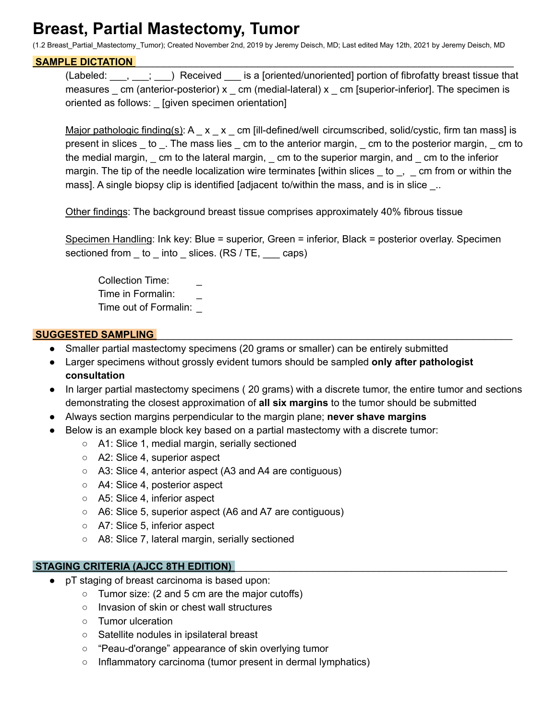# **Breast, Partial Mastectomy, Tumor**

(1.2 Breast\_Partial\_Mastectomy\_Tumor); Created November 2nd, 2019 by Jeremy Deisch, MD; Last edited May 12th, 2021 by Jeremy Deisch, MD

#### SAMPLE DICTATION

(Labeled: \_\_\_, \_\_\_; \_\_\_) Received \_\_\_ is a [oriented/unoriented] portion of fibrofatty breast tissue that measures  $\_$  cm (anterior-posterior) x  $\_$  cm (medial-lateral) x  $\_$  cm [superior-inferior]. The specimen is oriented as follows: \_ [given specimen orientation]

Major pathologic finding(s):  $A_ x_ x_ - x_ -$  cm [ill-defined/well circumscribed, solid/cystic, firm tan mass] is present in slices \_ to \_. The mass lies \_ cm to the anterior margin, \_ cm to the posterior margin, \_ cm to the medial margin, \_ cm to the lateral margin, \_ cm to the superior margin, and \_ cm to the inferior margin. The tip of the needle localization wire terminates [within slices  $\_\,$  to  $\_\,$   $\_\,$  cm from or within the mass]. A single biopsy clip is identified [adjacent to/within the mass, and is in slice \_..

Other findings: The background breast tissue comprises approximately 40% fibrous tissue

Specimen Handling: Ink key: Blue = superior, Green = inferior, Black = posterior overlay. Specimen sectioned from \_ to \_ into \_ slices. (RS / TE, \_\_\_ caps)

Collection Time: Time in Formalin: \_ Time out of Formalin: \_

## **SUGGESTED SAMPLING**

- Smaller partial mastectomy specimens (20 grams or smaller) can be entirely submitted
- Larger specimens without grossly evident tumors should be sampled **only after pathologist consultation**
- In larger partial mastectomy specimens ( 20 grams) with a discrete tumor, the entire tumor and sections demonstrating the closest approximation of **all six margins** to the tumor should be submitted
- Always section margins perpendicular to the margin plane; **never shave margins**
- Below is an example block key based on a partial mastectomy with a discrete tumor:
	- A1: Slice 1, medial margin, serially sectioned
	- A2: Slice 4, superior aspect
	- A3: Slice 4, anterior aspect (A3 and A4 are contiguous)
	- A4: Slice 4, posterior aspect
	- A5: Slice 4, inferior aspect
	- A6: Slice 5, superior aspect (A6 and A7 are contiguous)
	- A7: Slice 5, inferior aspect
	- A8: Slice 7, lateral margin, serially sectioned

## **STAGING CRITERIA (AJCC 8TH EDITION)** \_\_\_\_\_\_\_\_\_\_\_\_\_\_\_\_\_\_\_\_\_\_\_\_\_\_\_\_\_\_\_\_\_\_\_\_\_\_\_\_\_\_\_\_\_\_\_\_\_

- pT staging of breast carcinoma is based upon:
	- Tumor size: (2 and 5 cm are the major cutoffs)
	- Invasion of skin or chest wall structures
	- Tumor ulceration
	- Satellite nodules in ipsilateral breast
	- "Peau-d'orange" appearance of skin overlying tumor
	- Inflammatory carcinoma (tumor present in dermal lymphatics)